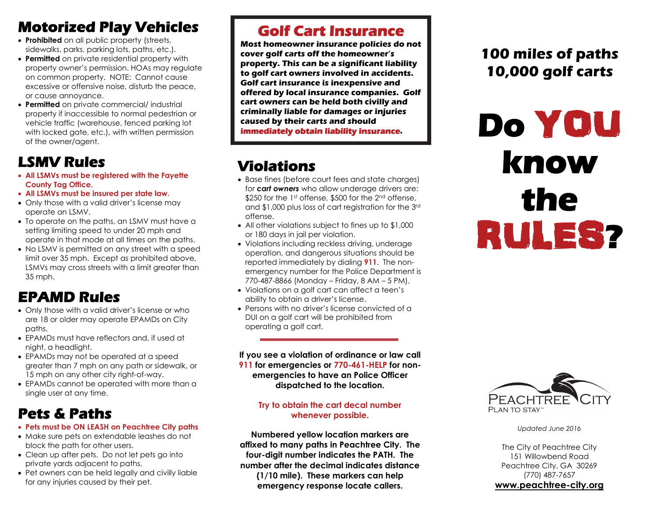# **Motorized Play Vehicles**

- **Prohibited** on all public property (streets, sidewalks, parks, parking lots, paths, etc.).
- **Permitted** on private residential property with property owner's permission. HOAs may regulate on common property. NOTE: Cannot cause excessive or offensive noise, disturb the peace, or cause annoyance.
- **Permitted** on private commercial/ industrial property if inaccessible to normal pedestrian or vehicle traffic (warehouse, fenced parking lot with locked gate, etc.), with written permission of the owner/agent.

# **LSMV Rules**

- **All LSMVs must be registered with the Fayette County Tag Office.**
- **All LSMVs must be insured per state law.**
- Only those with a valid driver's license may operate an LSMV.
- To operate on the paths, an LSMV must have a setting limiting speed to under 20 mph and operate in that mode at all times on the paths.
- No LSMV is permitted on any street with a speed limit over 35 mph. Except as prohibited above, LSMVs may cross streets with a limit greater than 35 mph.

# **EPAMD Rules**

- Only those with a valid driver's license or who are 18 or older may operate EPAMDs on City paths.
- EPAMDs must have reflectors and, if used at night, a headlight.
- EPAMDs may not be operated at a speed greater than 7 mph on any path or sidewalk, or 15 mph on any other city right-of-way.
- EPAMDs cannot be operated with more than a single user at any time.

# **Pets & Paths**

- **Pets must be ON LEASH on Peachtree City paths**
- Make sure pets on extendable leashes do not block the path for other users.
- Clean up after pets. Do not let pets go into private yards adjacent to paths.
- Pet owners can be held legally and civilly liable for any injuries caused by their pet.

## **Golf Cart Insurance**

**Most homeowner insurance policies do not cover golf carts off the homeowner's property. This can be a significant liability to golf cart owners involved in accidents. Golf cart insurance is inexpensive and offered by local insurance companies. Golf cart owners can be held both civilly and criminally liable for damages or injuries caused by their carts and should immediately obtain liability insurance.** 

# **Violations**

- Base fines (before court fees and state charges) for *cart owners* who allow underage drivers are: \$250 for the 1st offense, \$500 for the 2<sup>nd</sup> offense. and \$1,000 plus loss of cart registration for the 3rd offense.
- All other violations subject to fines up to \$1,000 or 180 days in jail per violation.
- Violations including reckless driving, underage operation, and dangerous situations should be reported immediately by dialing **911**. The nonemergency number for the Police Department is 770-487-8866 (Monday – Friday, 8 AM – 5 PM).
- Violations on a golf cart can affect a teen's ability to obtain a driver's license.
- $\bullet\,$  Persons with no driver's license convicted of a  $\,$ DUI on a golf cart will be prohibited from operating a golf cart.

**If you see a violation of ordinance or law call 911 for emergencies or 770-461-HELP for nonemergencies to have an Police Officer dispatched to the location.** 

### **Try to obtain the cart decal number whenever possible.**

**Numbered yellow location markers are affixed to many paths in Peachtree City. The four-digit number indicates the PATH. The number after the decimal indicates distance (1/10 mile). These markers can help emergency response locate callers.** 

# **100 miles of paths 10,000 golf carts**

# **Do** YOU **know the**  RULES **?**



*Updated June 2016* 

The City of Peachtree City 151 Willowbend Road Peachtree City, GA 30269 (770) 487-7657 **www.peachtree-city.org**